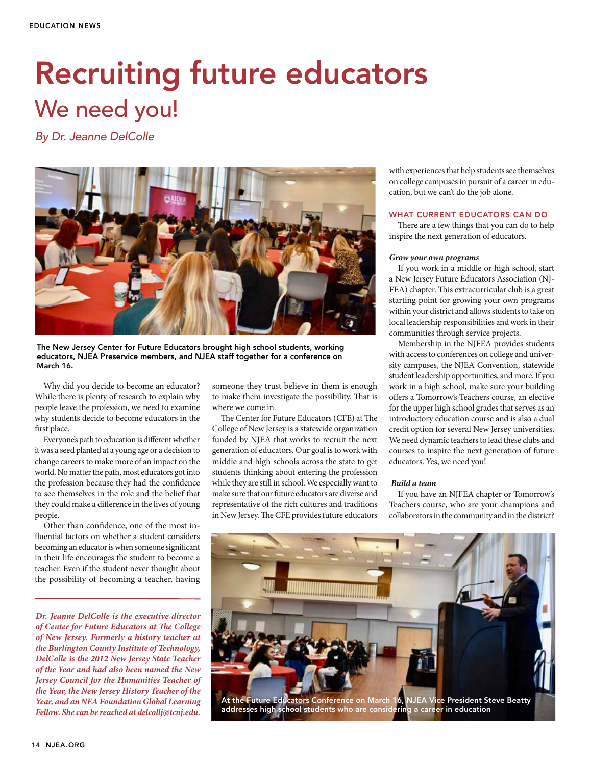# Recruiting future educators We need you!

*By Dr. Jeanne DelColle* 



The New Jersey Center for Future Educators brought high school students, working educators, NJEA Preservice members, and NJEA staff together for a conference on March 16.

Why did you decide to become an educator? While there is plenty of research to explain why people leave the profession, we need to examine why students decide to become educators in the first place.

Everyone's path to education is different whether it was a seed planted at a young age or a decision to change careers to make more of an impact on the world. No matter the path, most educators got into the profession because they had the confidence to see themselves in the role and the belief that they could make a difference in the lives of young people.

Other than confidence, one of the most influential factors on whether a student considers becoming an educator is when someone significant in their life encourages the student to become a teacher. Even if the student never thought about the possibility of becoming a teacher, having

*Dr. Jeanne DelColle is the executive director of Center for Future Educators at The College of New Jersey. Formerly a history teacher at the Burlington County Institute of Technology, DelColle is the 2012 New Jersey State Teacher of the Year and had also been named the New Jersey Council for the Humanities Teacher of the Year, the New Jersey History Teacher of the Year, and an NEA Foundation Global Learning Fellow. She can be reached at delcollj@tcnj.edu.* 

someone they trust believe in them is enough to make them investigate the possibility. That is where we come in.

The Center for Future Educators (CFE) at The College of New Jersey is a statewide organization funded by NJEA that works to recruit the next generation of educators. Our goal is to work with middle and high schools across the state to get students thinking about entering the profession while they are still in school. We especially want to make sure that our future educators are diverse and representative of the rich cultures and traditions in New Jersey. The CFE provides future educators

with experiences that help students see themselves on college campuses in pursuit of a career in education, but we can't do the job alone.

# WHAT CURRENT EDUCATORS CAN DO

There are a few things that you can do to help inspire the next generation of educators.

## *Grow your own programs*

If you work in a middle or high school, start a New Jersey Future Educators Association (NJ-FEA) chapter. This extracurricular club is a great starting point for growing your own programs within your district and allows students to take on local leadership responsibilities and work in their communities through service projects.

Membership in the NJFEA provides students with access to conferences on college and university campuses, the NJEA Convention, statewide student leadership opportunities, and more. If you work in a high school, make sure your building offers a Tomorrow's Teachers course, an elective for the upper high school grades that serves as an introductory education course and is also a dual credit option for several New Jersey universities. We need dynamic teachers to lead these clubs and courses to inspire the next generation of future educators. Yes, we need you!

### *Build a team*

If you have an NJFEA chapter or Tomorrow's Teachers course, who are your champions and collaborators in the community and in the district?



addresses high school students who are considering a career in education